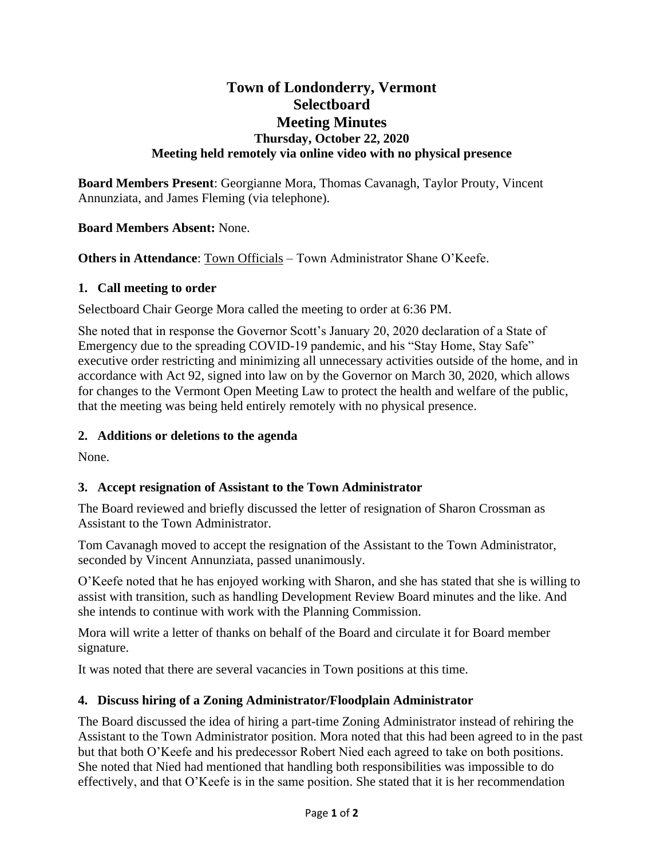# **Town of Londonderry, Vermont Selectboard Meeting Minutes Thursday, October 22, 2020 Meeting held remotely via online video with no physical presence**

**Board Members Present**: Georgianne Mora, Thomas Cavanagh, Taylor Prouty, Vincent Annunziata, and James Fleming (via telephone).

**Board Members Absent:** None.

**Others in Attendance:** Town Officials – Town Administrator Shane O'Keefe.

#### **1. Call meeting to order**

Selectboard Chair George Mora called the meeting to order at 6:36 PM.

She noted that in response the Governor Scott's January 20, 2020 declaration of a State of Emergency due to the spreading COVID-19 pandemic, and his "Stay Home, Stay Safe" executive order restricting and minimizing all unnecessary activities outside of the home, and in accordance with Act 92, signed into law on by the Governor on March 30, 2020, which allows for changes to the Vermont Open Meeting Law to protect the health and welfare of the public, that the meeting was being held entirely remotely with no physical presence.

### **2. Additions or deletions to the agenda**

None.

# **3. Accept resignation of Assistant to the Town Administrator**

The Board reviewed and briefly discussed the letter of resignation of Sharon Crossman as Assistant to the Town Administrator.

Tom Cavanagh moved to accept the resignation of the Assistant to the Town Administrator, seconded by Vincent Annunziata, passed unanimously.

O'Keefe noted that he has enjoyed working with Sharon, and she has stated that she is willing to assist with transition, such as handling Development Review Board minutes and the like. And she intends to continue with work with the Planning Commission.

Mora will write a letter of thanks on behalf of the Board and circulate it for Board member signature.

It was noted that there are several vacancies in Town positions at this time.

# **4. Discuss hiring of a Zoning Administrator/Floodplain Administrator**

The Board discussed the idea of hiring a part-time Zoning Administrator instead of rehiring the Assistant to the Town Administrator position. Mora noted that this had been agreed to in the past but that both O'Keefe and his predecessor Robert Nied each agreed to take on both positions. She noted that Nied had mentioned that handling both responsibilities was impossible to do effectively, and that O'Keefe is in the same position. She stated that it is her recommendation